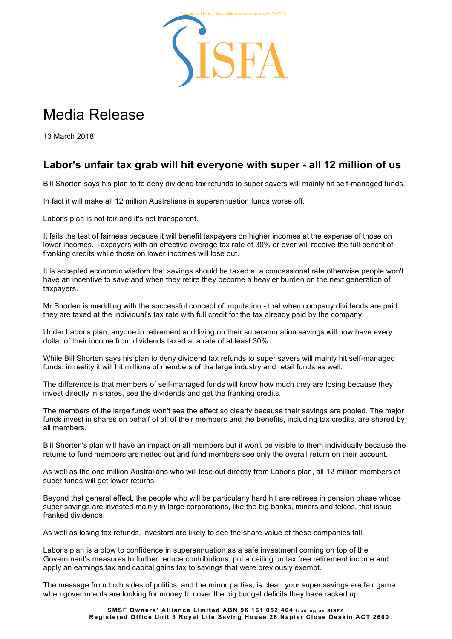

## Media Release

13 March 2018

## **Labor's unfair tax grab will hit everyone with super - all 12 million of us**

Bill Shorten says his plan to to deny dividend tax refunds to super savers will mainly hit self-managed funds.

In fact it will make all 12 million Australians in superannuation funds worse off.

Labor's plan is not fair and it's not transparent.

It fails the test of fairness because it will benefit taxpayers on higher incomes at the expense of those on lower incomes. Taxpayers with an effective average tax rate of 30% or over will receive the full benefit of franking credits while those on lower incomes will lose out.

It is accepted economic wisdom that savings should be taxed at a concessional rate otherwise people won't have an incentive to save and when they retire they become a heavier burden on the next generation of taxpayers.

Mr Shorten is meddling with the successful concept of imputation - that when company dividends are paid they are taxed at the individual's tax rate with full credit for the tax already paid by the company.

Under Labor's plan, anyone in retirement and living on their superannuation savings will now have every dollar of their income from dividends taxed at a rate of at least 30%.

While Bill Shorten says his plan to deny dividend tax refunds to super savers will mainly hit self-managed funds, in reality it will hit millions of members of the large industry and retail funds as well.

The difference is that members of self-managed funds will know how much they are losing because they invest directly in shares, see the dividends and get the franking credits.

The members of the large funds won't see the effect so clearly because their savings are pooled. The major funds invest in shares on behalf of all of their members and the benefits, including tax credits, are shared by all members.

Bill Shorten's plan will have an impact on all members but it won't be visible to them individually because the returns to fund members are netted out and fund members see only the overall return on their account.

As well as the one million Australians who will lose out directly from Labor's plan, all 12 million members of super funds will get lower returns.

Beyond that general effect, the people who will be particularly hard hit are retirees in pension phase whose super savings are invested mainly in large corporations, like the big banks, miners and telcos, that issue franked dividends.

As well as losing tax refunds, investors are likely to see the share value of these companies fall.

Labor's plan is a blow to confidence in superannuation as a safe investment coming on top of the Government's measures to further reduce contributions, put a ceiling on tax free retirement income and apply an earnings tax and capital gains tax to savings that were previously exempt.

The message from both sides of politics, and the minor parties, is clear: your super savings are fair game when governments are looking for money to cover the big budget deficits they have racked up.